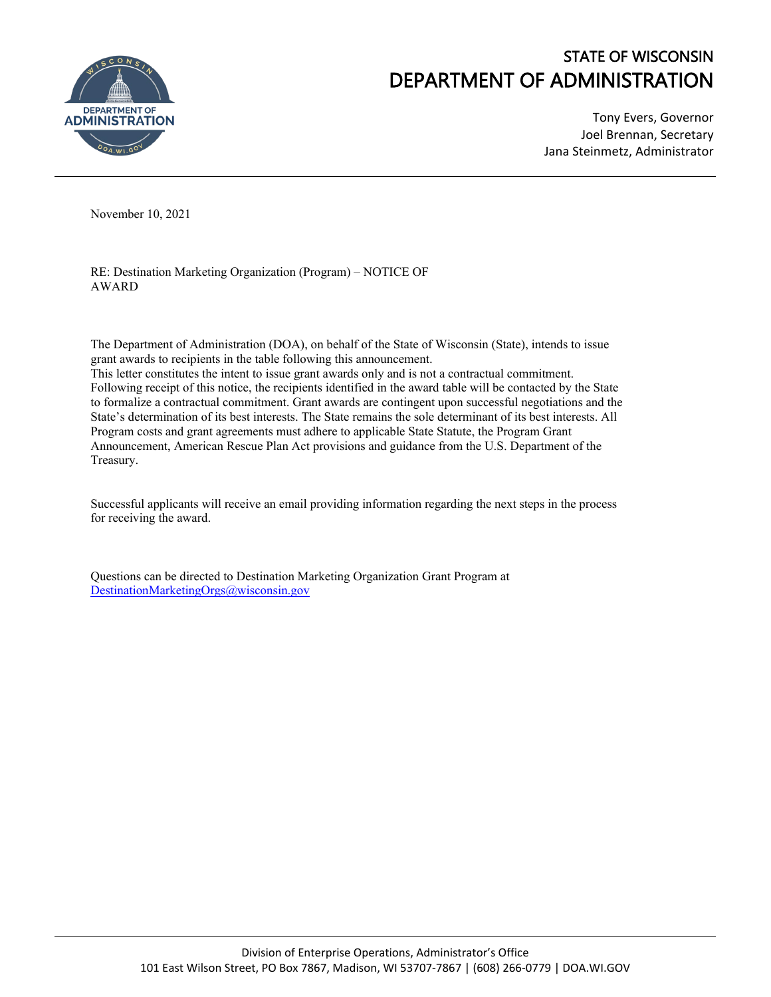

## STATE OF WISCONSIN DEPARTMENT OF ADMINISTRATION

Tony Evers, Governor Joel Brennan, Secretary Jana Steinmetz, Administrator

November 10, 2021

RE: Destination Marketing Organization (Program) – NOTICE OF AWARD

The Department of Administration (DOA), on behalf of the State of Wisconsin (State), intends to issue grant awards to recipients in the table following this announcement.

This letter constitutes the intent to issue grant awards only and is not a contractual commitment. Following receipt of this notice, the recipients identified in the award table will be contacted by the State to formalize a contractual commitment. Grant awards are contingent upon successful negotiations and the State's determination of its best interests. The State remains the sole determinant of its best interests. All Program costs and grant agreements must adhere to applicable State Statute, the Program Grant Announcement, American Rescue Plan Act provisions and guidance from the U.S. Department of the Treasury.

Successful applicants will receive an email providing information regarding the next steps in the process for receiving the award.

Questions can be directed to Destination Marketing Organization Grant Program at [DestinationMarketingOrgs@wisconsin.gov](mailto:DestinationMarketingOrgs@wisconsin.gov)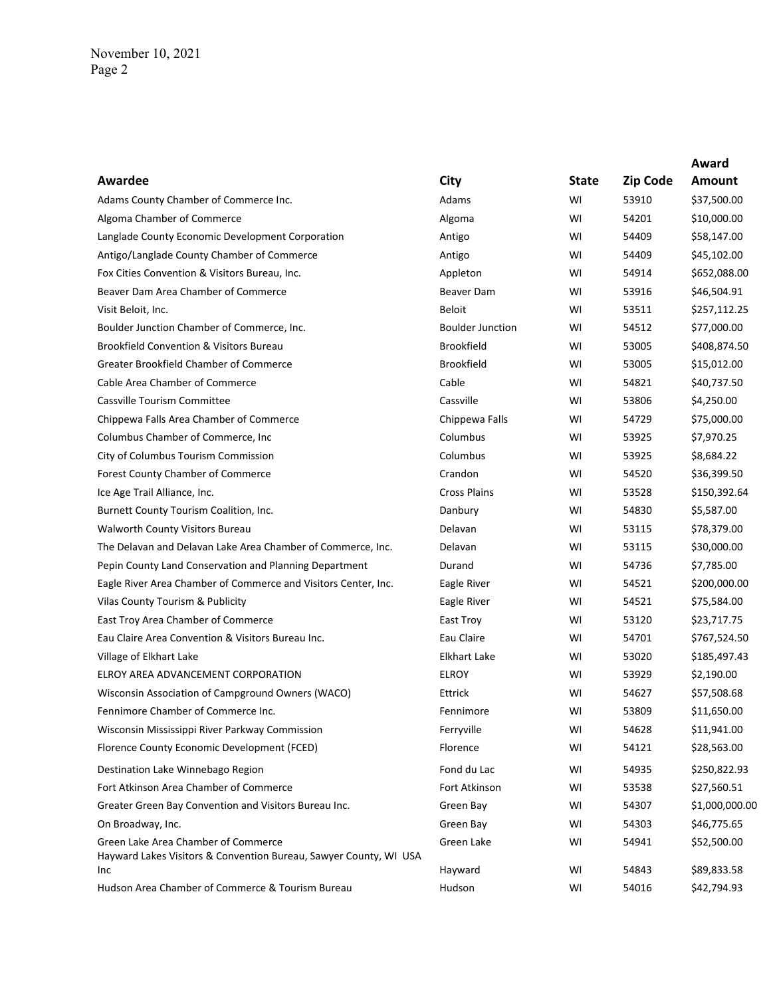|                                                                                                          |                         |              |                 | Award          |
|----------------------------------------------------------------------------------------------------------|-------------------------|--------------|-----------------|----------------|
| Awardee                                                                                                  | City                    | <b>State</b> | <b>Zip Code</b> | Amount         |
| Adams County Chamber of Commerce Inc.                                                                    | Adams                   | W١           | 53910           | \$37,500.00    |
| Algoma Chamber of Commerce                                                                               | Algoma                  | WI           | 54201           | \$10,000.00    |
| Langlade County Economic Development Corporation                                                         | Antigo                  | WI           | 54409           | \$58,147.00    |
| Antigo/Langlade County Chamber of Commerce                                                               | Antigo                  | WI           | 54409           | \$45,102.00    |
| Fox Cities Convention & Visitors Bureau, Inc.                                                            | Appleton                | WI           | 54914           | \$652,088.00   |
| Beaver Dam Area Chamber of Commerce                                                                      | Beaver Dam              | WI           | 53916           | \$46,504.91    |
| Visit Beloit, Inc.                                                                                       | <b>Beloit</b>           | WI           | 53511           | \$257,112.25   |
| Boulder Junction Chamber of Commerce, Inc.                                                               | <b>Boulder Junction</b> | WI           | 54512           | \$77,000.00    |
| <b>Brookfield Convention &amp; Visitors Bureau</b>                                                       | <b>Brookfield</b>       | WI           | 53005           | \$408,874.50   |
| Greater Brookfield Chamber of Commerce                                                                   | <b>Brookfield</b>       | WI           | 53005           | \$15,012.00    |
| Cable Area Chamber of Commerce                                                                           | Cable                   | WI           | 54821           | \$40,737.50    |
| Cassville Tourism Committee                                                                              | Cassville               | WI           | 53806           | \$4,250.00     |
| Chippewa Falls Area Chamber of Commerce                                                                  | Chippewa Falls          | WI           | 54729           | \$75,000.00    |
| Columbus Chamber of Commerce, Inc.                                                                       | Columbus                | WI           | 53925           | \$7,970.25     |
| City of Columbus Tourism Commission                                                                      | Columbus                | WI           | 53925           | \$8,684.22     |
| Forest County Chamber of Commerce                                                                        | Crandon                 | WI           | 54520           | \$36,399.50    |
| Ice Age Trail Alliance, Inc.                                                                             | <b>Cross Plains</b>     | WI           | 53528           | \$150,392.64   |
| Burnett County Tourism Coalition, Inc.                                                                   | Danbury                 | WI           | 54830           | \$5,587.00     |
| Walworth County Visitors Bureau                                                                          | Delavan                 | WI           | 53115           | \$78,379.00    |
| The Delavan and Delavan Lake Area Chamber of Commerce, Inc.                                              | Delavan                 | WI           | 53115           | \$30,000.00    |
| Pepin County Land Conservation and Planning Department                                                   | Durand                  | WI           | 54736           | \$7,785.00     |
| Eagle River Area Chamber of Commerce and Visitors Center, Inc.                                           | Eagle River             | WI           | 54521           | \$200,000.00   |
| Vilas County Tourism & Publicity                                                                         | Eagle River             | WI           | 54521           | \$75,584.00    |
| East Troy Area Chamber of Commerce                                                                       | East Troy               | WI           | 53120           | \$23,717.75    |
| Eau Claire Area Convention & Visitors Bureau Inc.                                                        | Eau Claire              | W١           | 54701           | \$767,524.50   |
| Village of Elkhart Lake                                                                                  | <b>Elkhart Lake</b>     | WI           | 53020           | \$185,497.43   |
| ELROY AREA ADVANCEMENT CORPORATION                                                                       | <b>ELROY</b>            | WI           | 53929           | \$2,190.00     |
| Wisconsin Association of Campground Owners (WACO)                                                        | Ettrick                 | WI           | 54627           | \$57,508.68    |
| Fennimore Chamber of Commerce Inc.                                                                       | Fennimore               | WI           | 53809           | \$11,650.00    |
| Wisconsin Mississippi River Parkway Commission                                                           | Ferryville              | WI           | 54628           | \$11,941.00    |
| Florence County Economic Development (FCED)                                                              | Florence                | WI           | 54121           | \$28,563.00    |
| Destination Lake Winnebago Region                                                                        | Fond du Lac             | WI           | 54935           | \$250,822.93   |
| Fort Atkinson Area Chamber of Commerce                                                                   | Fort Atkinson           | WI           | 53538           | \$27,560.51    |
| Greater Green Bay Convention and Visitors Bureau Inc.                                                    | Green Bay               | WI           | 54307           | \$1,000,000.00 |
| On Broadway, Inc.                                                                                        | Green Bay               | WI           | 54303           | \$46,775.65    |
| Green Lake Area Chamber of Commerce<br>Hayward Lakes Visitors & Convention Bureau, Sawyer County, WI USA | Green Lake              | WI           | 54941           | \$52,500.00    |
| Inc                                                                                                      | Hayward                 | WI           | 54843           | \$89,833.58    |
| Hudson Area Chamber of Commerce & Tourism Bureau                                                         | Hudson                  | WI           | 54016           | \$42,794.93    |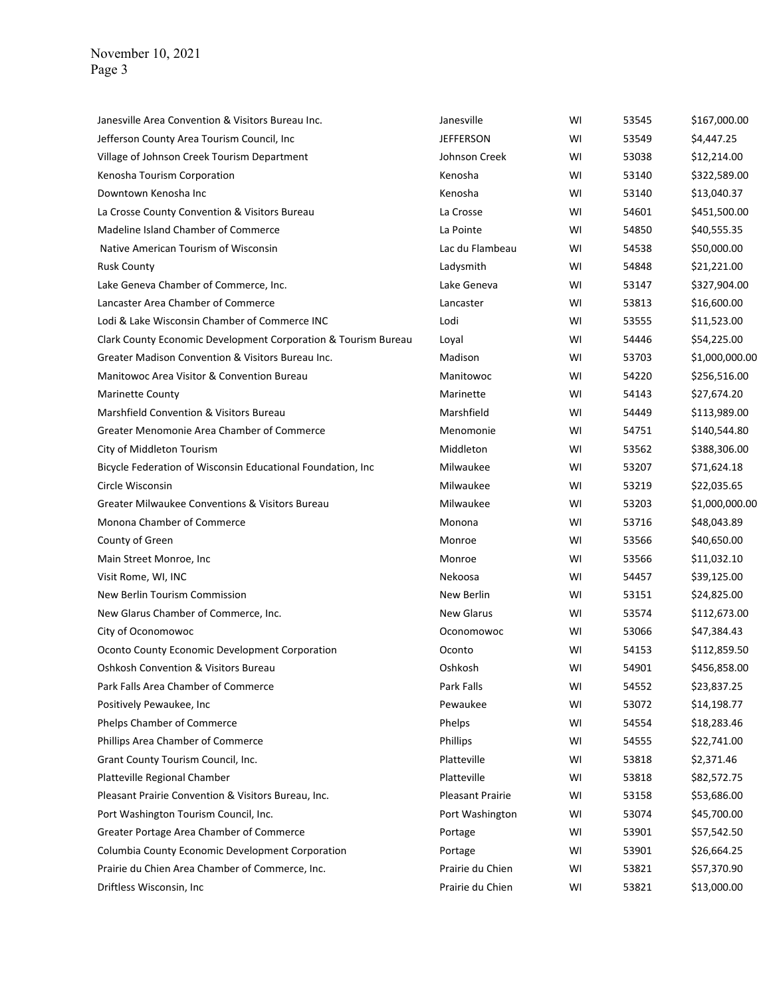| Janesville Area Convention & Visitors Bureau Inc.              | Janesville        | WI | 53545 | \$167,000.00   |
|----------------------------------------------------------------|-------------------|----|-------|----------------|
| Jefferson County Area Tourism Council, Inc.                    | <b>JEFFERSON</b>  | WI | 53549 | \$4,447.25     |
| Village of Johnson Creek Tourism Department                    | Johnson Creek     | WI | 53038 | \$12,214.00    |
| Kenosha Tourism Corporation                                    | Kenosha           | WI | 53140 | \$322,589.00   |
| Downtown Kenosha Inc                                           | Kenosha           | WI | 53140 | \$13,040.37    |
| La Crosse County Convention & Visitors Bureau                  | La Crosse         | WI | 54601 | \$451,500.00   |
| Madeline Island Chamber of Commerce                            | La Pointe         | WI | 54850 | \$40,555.35    |
| Native American Tourism of Wisconsin                           | Lac du Flambeau   | WI | 54538 | \$50,000.00    |
| <b>Rusk County</b>                                             | Ladysmith         | WI | 54848 | \$21,221.00    |
| Lake Geneva Chamber of Commerce, Inc.                          | Lake Geneva       | WI | 53147 | \$327,904.00   |
| Lancaster Area Chamber of Commerce                             | Lancaster         | WI | 53813 | \$16,600.00    |
| Lodi & Lake Wisconsin Chamber of Commerce INC                  | Lodi              | WI | 53555 | \$11,523.00    |
| Clark County Economic Development Corporation & Tourism Bureau | Loyal             | WI | 54446 | \$54,225.00    |
| Greater Madison Convention & Visitors Bureau Inc.              | Madison           | WI | 53703 | \$1,000,000.00 |
| Manitowoc Area Visitor & Convention Bureau                     | Manitowoc         | WI | 54220 | \$256,516.00   |
| <b>Marinette County</b>                                        | Marinette         | WI | 54143 | \$27,674.20    |
| Marshfield Convention & Visitors Bureau                        | Marshfield        | WI | 54449 | \$113,989.00   |
| Greater Menomonie Area Chamber of Commerce                     | Menomonie         | WI | 54751 | \$140,544.80   |
| City of Middleton Tourism                                      | Middleton         | WI | 53562 | \$388,306.00   |
| Bicycle Federation of Wisconsin Educational Foundation, Inc    | Milwaukee         | WI | 53207 | \$71,624.18    |
| Circle Wisconsin                                               | Milwaukee         | WI | 53219 | \$22,035.65    |
| Greater Milwaukee Conventions & Visitors Bureau                | Milwaukee         | WI | 53203 | \$1,000,000.00 |
| Monona Chamber of Commerce                                     | Monona            | WI | 53716 | \$48,043.89    |
| County of Green                                                | Monroe            | WI | 53566 | \$40,650.00    |
| Main Street Monroe, Inc.                                       | Monroe            | WI | 53566 | \$11,032.10    |
| Visit Rome, WI, INC                                            | Nekoosa           | WI | 54457 | \$39,125.00    |
| New Berlin Tourism Commission                                  | New Berlin        | WI | 53151 | \$24,825.00    |
| New Glarus Chamber of Commerce, Inc.                           | <b>New Glarus</b> | WI | 53574 | \$112,673.00   |
| City of Oconomowoc                                             | Oconomowoc        | WI | 53066 | \$47,384.43    |
| Oconto County Economic Development Corporation                 | Oconto            | WI | 54153 | \$112,859.50   |
| <b>Oshkosh Convention &amp; Visitors Bureau</b>                | Oshkosh           | WI | 54901 | \$456,858.00   |
| Park Falls Area Chamber of Commerce                            | Park Falls        | WI | 54552 | \$23,837.25    |
| Positively Pewaukee, Inc                                       | Pewaukee          | WI | 53072 | \$14,198.77    |
| Phelps Chamber of Commerce                                     | Phelps            | WI | 54554 | \$18,283.46    |
| Phillips Area Chamber of Commerce                              | Phillips          | WI | 54555 | \$22,741.00    |
| Grant County Tourism Council, Inc.                             | Platteville       | WI | 53818 | \$2,371.46     |
| Platteville Regional Chamber                                   | Platteville       | WI | 53818 | \$82,572.75    |
| Pleasant Prairie Convention & Visitors Bureau, Inc.            | Pleasant Prairie  | WI | 53158 | \$53,686.00    |
| Port Washington Tourism Council, Inc.                          | Port Washington   | WI | 53074 | \$45,700.00    |
| Greater Portage Area Chamber of Commerce                       | Portage           | WI | 53901 | \$57,542.50    |
| Columbia County Economic Development Corporation               | Portage           | WI | 53901 | \$26,664.25    |
| Prairie du Chien Area Chamber of Commerce, Inc.                | Prairie du Chien  | WI | 53821 | \$57,370.90    |
| Driftless Wisconsin, Inc                                       | Prairie du Chien  | WI | 53821 | \$13,000.00    |